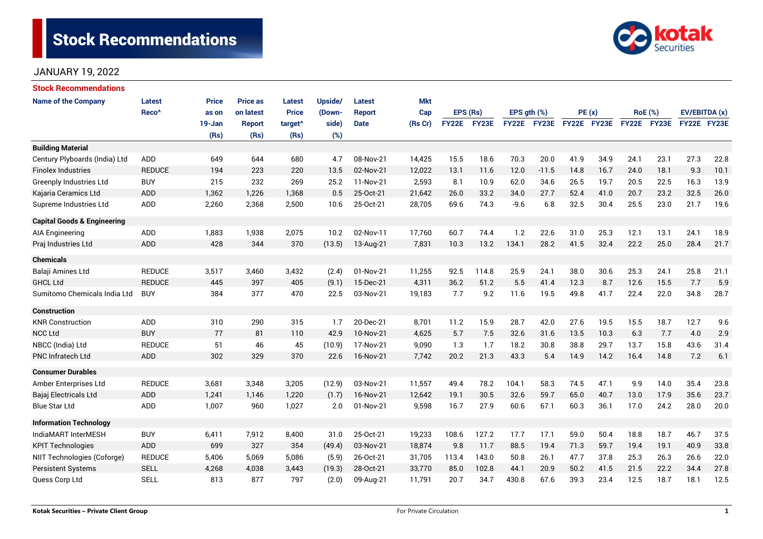# **Stock Recommendations**



### JANUARY 19, 2022

| <b>Stock Recommendations</b>           |                   |              |                 |                     |         |               |            |              |       |                  |             |             |       |                |      |               |      |
|----------------------------------------|-------------------|--------------|-----------------|---------------------|---------|---------------|------------|--------------|-------|------------------|-------------|-------------|-------|----------------|------|---------------|------|
| <b>Name of the Company</b>             | Latest            | <b>Price</b> | <b>Price as</b> | Latest              | Upside/ | Latest        | <b>Mkt</b> |              |       |                  |             |             |       |                |      |               |      |
|                                        | Reco <sup>^</sup> | as on        | on latest       | <b>Price</b>        | (Down-  | <b>Report</b> | Cap        | EPS (Rs)     |       | EPS $gth$ $(\%)$ |             |             | PE(x) | <b>RoE</b> (%) |      | EV/EBITDA (x) |      |
|                                        |                   | 19-Jan       | <b>Report</b>   | target <sup>^</sup> | side)   | <b>Date</b>   | (Rs Cr)    | <b>FY22E</b> | FY23E |                  | FY22E FY23E | FY22E FY23E |       | FY22E FY23E    |      | FY22E FY23E   |      |
|                                        |                   | (Rs)         | (Rs)            | (Rs)                | (%)     |               |            |              |       |                  |             |             |       |                |      |               |      |
| <b>Building Material</b>               |                   |              |                 |                     |         |               |            |              |       |                  |             |             |       |                |      |               |      |
| Century Plyboards (India) Ltd          | ADD               | 649          | 644             | 680                 | 4.7     | 08-Nov-21     | 14,425     | 15.5         | 18.6  | 70.3             | 20.0        | 41.9        | 34.9  | 24.1           | 23.1 | 27.3          | 22.8 |
| <b>Finolex Industries</b>              | <b>REDUCE</b>     | 194          | 223             | 220                 | 13.5    | 02-Nov-21     | 12,022     | 13.1         | 11.6  | 12.0             | $-11.5$     | 14.8        | 16.7  | 24.0           | 18.1 | 9.3           | 10.1 |
| <b>Greenply Industries Ltd</b>         | <b>BUY</b>        | 215          | 232             | 269                 | 25.2    | 11-Nov-21     | 2,593      | 8.1          | 10.9  | 62.0             | 34.6        | 26.5        | 19.7  | 20.5           | 22.5 | 16.3          | 13.9 |
| Kajaria Ceramics Ltd                   | <b>ADD</b>        | 1,362        | 1,226           | 1,368               | 0.5     | 25-Oct-21     | 21,642     | 26.0         | 33.2  | 34.0             | 27.7        | 52.4        | 41.0  | 20.7           | 23.2 | 32.5          | 26.0 |
| Supreme Industries Ltd                 | <b>ADD</b>        | 2,260        | 2,368           | 2,500               | 10.6    | 25-Oct-21     | 28,705     | 69.6         | 74.3  | $-9.6$           | 6.8         | 32.5        | 30.4  | 25.5           | 23.0 | 21.7          | 19.6 |
| <b>Capital Goods &amp; Engineering</b> |                   |              |                 |                     |         |               |            |              |       |                  |             |             |       |                |      |               |      |
| AIA Engineering                        | <b>ADD</b>        | 1,883        | 1,938           | 2,075               | 10.2    | 02-Nov-11     | 17,760     | 60.7         | 74.4  | 1.2              | 22.6        | 31.0        | 25.3  | 12.1           | 13.1 | 24.1          | 18.9 |
| Praj Industries Ltd                    | <b>ADD</b>        | 428          | 344             | 370                 | (13.5)  | 13-Aug-21     | 7,831      | 10.3         | 13.2  | 134.1            | 28.2        | 41.5        | 32.4  | 22.2           | 25.0 | 28.4          | 21.7 |
| <b>Chemicals</b>                       |                   |              |                 |                     |         |               |            |              |       |                  |             |             |       |                |      |               |      |
| Balaji Amines Ltd                      | <b>REDUCE</b>     | 3,517        | 3,460           | 3,432               | (2.4)   | 01-Nov-21     | 11,255     | 92.5         | 114.8 | 25.9             | 24.1        | 38.0        | 30.6  | 25.3           | 24.1 | 25.8          | 21.1 |
| <b>GHCL Ltd</b>                        | <b>REDUCE</b>     | 445          | 397             | 405                 | (9.1)   | 15-Dec-21     | 4,311      | 36.2         | 51.2  | 5.5              | 41.4        | 12.3        | 8.7   | 12.6           | 15.5 | 7.7           | 5.9  |
| Sumitomo Chemicals India Ltd           | <b>BUY</b>        | 384          | 377             | 470                 | 22.5    | 03-Nov-21     | 19,183     | 7.7          | 9.2   | 11.6             | 19.5        | 49.8        | 41.7  | 22.4           | 22.0 | 34.8          | 28.7 |
| <b>Construction</b>                    |                   |              |                 |                     |         |               |            |              |       |                  |             |             |       |                |      |               |      |
| <b>KNR Construction</b>                | <b>ADD</b>        | 310          | 290             | 315                 | 1.7     | 20-Dec-21     | 8,701      | 11.2         | 15.9  | 28.7             | 42.0        | 27.6        | 19.5  | 15.5           | 18.7 | 12.7          | 9.6  |
| <b>NCC Ltd</b>                         | <b>BUY</b>        | 77           | 81              | 110                 | 42.9    | 10-Nov-21     | 4,625      | 5.7          | 7.5   | 32.6             | 31.6        | 13.5        | 10.3  | 6.3            | 7.7  | 4.0           | 2.9  |
| NBCC (India) Ltd                       | <b>REDUCE</b>     | 51           | 46              | 45                  | (10.9)  | 17-Nov-21     | 9,090      | 1.3          | 1.7   | 18.2             | 30.8        | 38.8        | 29.7  | 13.7           | 15.8 | 43.6          | 31.4 |
| <b>PNC Infratech Ltd</b>               | <b>ADD</b>        | 302          | 329             | 370                 | 22.6    | 16-Nov-21     | 7,742      | 20.2         | 21.3  | 43.3             | 5.4         | 14.9        | 14.2  | 16.4           | 14.8 | 7.2           | 6.1  |
| <b>Consumer Durables</b>               |                   |              |                 |                     |         |               |            |              |       |                  |             |             |       |                |      |               |      |
| Amber Enterprises Ltd                  | <b>REDUCE</b>     | 3,681        | 3,348           | 3,205               | (12.9)  | 03-Nov-21     | 11,557     | 49.4         | 78.2  | 104.1            | 58.3        | 74.5        | 47.1  | 9.9            | 14.0 | 35.4          | 23.8 |
| Bajaj Electricals Ltd                  | ADD               | 1,241        | 1,146           | 1,220               | (1.7)   | 16-Nov-21     | 12,642     | 19.1         | 30.5  | 32.6             | 59.7        | 65.0        | 40.7  | 13.0           | 17.9 | 35.6          | 23.7 |
| <b>Blue Star Ltd</b>                   | <b>ADD</b>        | 1,007        | 960             | 1,027               | 2.0     | 01-Nov-21     | 9,598      | 16.7         | 27.9  | 60.6             | 67.1        | 60.3        | 36.1  | 17.0           | 24.2 | 28.0          | 20.0 |
| <b>Information Technology</b>          |                   |              |                 |                     |         |               |            |              |       |                  |             |             |       |                |      |               |      |
| IndiaMART InterMESH                    | <b>BUY</b>        | 6,411        | 7,912           | 8,400               | 31.0    | 25-Oct-21     | 19,233     | 108.6        | 127.2 | 17.7             | 17.1        | 59.0        | 50.4  | 18.8           | 18.7 | 46.7          | 37.5 |
| <b>KPIT Technologies</b>               | <b>ADD</b>        | 699          | 327             | 354                 | (49.4)  | 03-Nov-21     | 18,874     | 9.8          | 11.7  | 88.5             | 19.4        | 71.3        | 59.7  | 19.4           | 19.1 | 40.9          | 33.8 |
| NIIT Technologies (Coforge)            | <b>REDUCE</b>     | 5,406        | 5,069           | 5,086               | (5.9)   | 26-Oct-21     | 31,705     | 113.4        | 143.0 | 50.8             | 26.1        | 47.7        | 37.8  | 25.3           | 26.3 | 26.6          | 22.0 |
| <b>Persistent Systems</b>              | <b>SELL</b>       | 4,268        | 4,038           | 3,443               | (19.3)  | 28-Oct-21     | 33,770     | 85.0         | 102.8 | 44.1             | 20.9        | 50.2        | 41.5  | 21.5           | 22.2 | 34.4          | 27.8 |
| Quess Corp Ltd                         | <b>SELL</b>       | 813          | 877             | 797                 | (2.0)   | 09-Aug-21     | 11,791     | 20.7         | 34.7  | 430.8            | 67.6        | 39.3        | 23.4  | 12.5           | 18.7 | 18.1          | 12.5 |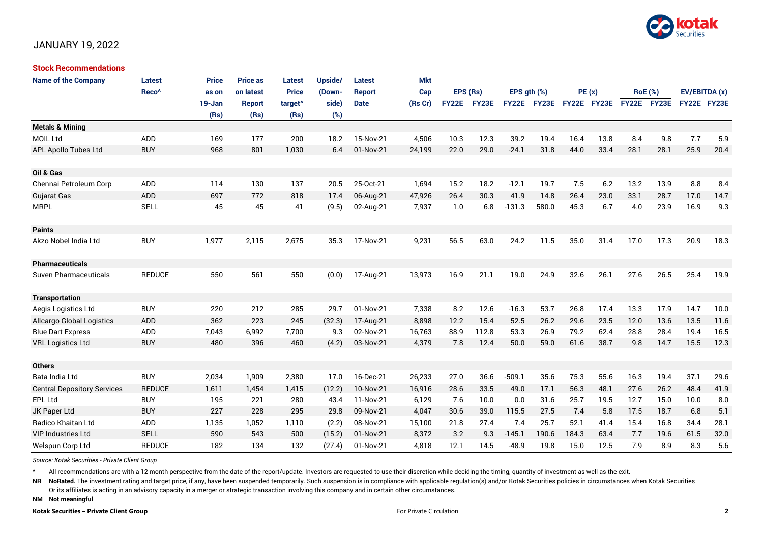

#### JANUARY 19, 2022

| <b>Stock Recommendations</b>       |                   |        |                 |                     |         |               |            |              |       |                  |       |             |      |      |                |                    |      |
|------------------------------------|-------------------|--------|-----------------|---------------------|---------|---------------|------------|--------------|-------|------------------|-------|-------------|------|------|----------------|--------------------|------|
| <b>Name of the Company</b>         | <b>Latest</b>     | Price  | <b>Price as</b> | <b>Latest</b>       | Upside/ | Latest        | <b>Mkt</b> |              |       |                  |       |             |      |      |                |                    |      |
|                                    | Reco <sup>^</sup> | as on  | on latest       | <b>Price</b>        | (Down-  | <b>Report</b> | Cap        | EPS (Rs)     |       | EPS $gth$ $(\%)$ |       | PE(x)       |      |      | <b>RoE</b> (%) | EV/EBITDA (x)      |      |
|                                    |                   | 19-Jan | <b>Report</b>   | target <sup>^</sup> | side)   | <b>Date</b>   | (Rs Cr)    | <b>FY22E</b> | FY23E | <b>FY22E</b>     | FY23E | FY22E FY23E |      |      | FY22E FY23E    | <b>FY22E FY23E</b> |      |
|                                    |                   | (Rs)   | (Rs)            | (Rs)                | (%)     |               |            |              |       |                  |       |             |      |      |                |                    |      |
| <b>Metals &amp; Mining</b>         |                   |        |                 |                     |         |               |            |              |       |                  |       |             |      |      |                |                    |      |
| MOIL Ltd                           | <b>ADD</b>        | 169    | 177             | 200                 | 18.2    | 15-Nov-21     | 4,506      | 10.3         | 12.3  | 39.2             | 19.4  | 16.4        | 13.8 | 8.4  | 9.8            | 7.7                | 5.9  |
| APL Apollo Tubes Ltd               | <b>BUY</b>        | 968    | 801             | 1,030               | 6.4     | 01-Nov-21     | 24,199     | 22.0         | 29.0  | $-24.1$          | 31.8  | 44.0        | 33.4 | 28.1 | 28.1           | 25.9               | 20.4 |
|                                    |                   |        |                 |                     |         |               |            |              |       |                  |       |             |      |      |                |                    |      |
| Oil & Gas                          |                   |        |                 |                     |         |               |            |              |       |                  |       |             |      |      |                |                    |      |
| Chennai Petroleum Corp             | ADD               | 114    | 130             | 137                 | 20.5    | 25-Oct-21     | 1,694      | 15.2         | 18.2  | $-12.1$          | 19.7  | 7.5         | 6.2  | 13.2 | 13.9           | 8.8                | 8.4  |
| <b>Gujarat Gas</b>                 | ADD               | 697    | 772             | 818                 | 17.4    | 06-Aug-21     | 47,926     | 26.4         | 30.3  | 41.9             | 14.8  | 26.4        | 23.0 | 33.1 | 28.7           | 17.0               | 14.7 |
| <b>MRPL</b>                        | <b>SELL</b>       | 45     | 45              | 41                  | (9.5)   | 02-Aug-21     | 7,937      | 1.0          | 6.8   | $-131.3$         | 580.0 | 45.3        | 6.7  | 4.0  | 23.9           | 16.9               | 9.3  |
|                                    |                   |        |                 |                     |         |               |            |              |       |                  |       |             |      |      |                |                    |      |
| <b>Paints</b>                      |                   |        |                 |                     |         |               |            |              |       |                  |       |             |      |      |                |                    |      |
| Akzo Nobel India Ltd               | <b>BUY</b>        | 1,977  | 2,115           | 2,675               | 35.3    | 17-Nov-21     | 9,231      | 56.5         | 63.0  | 24.2             | 11.5  | 35.0        | 31.4 | 17.0 | 17.3           | 20.9               | 18.3 |
|                                    |                   |        |                 |                     |         |               |            |              |       |                  |       |             |      |      |                |                    |      |
| <b>Pharmaceuticals</b>             |                   |        |                 |                     |         |               |            |              |       |                  |       |             |      |      |                |                    |      |
| <b>Suven Pharmaceuticals</b>       | <b>REDUCE</b>     | 550    | 561             | 550                 | (0.0)   | 17-Aug-21     | 13,973     | 16.9         | 21.1  | 19.0             | 24.9  | 32.6        | 26.1 | 27.6 | 26.5           | 25.4               | 19.9 |
|                                    |                   |        |                 |                     |         |               |            |              |       |                  |       |             |      |      |                |                    |      |
| <b>Transportation</b>              |                   |        |                 |                     |         |               |            |              |       |                  |       |             |      |      |                |                    |      |
| Aegis Logistics Ltd                | <b>BUY</b>        | 220    | 212             | 285                 | 29.7    | 01-Nov-21     | 7,338      | 8.2          | 12.6  | $-16.3$          | 53.7  | 26.8        | 17.4 | 13.3 | 17.9           | 14.7               | 10.0 |
| <b>Allcargo Global Logistics</b>   | <b>ADD</b>        | 362    | 223             | 245                 | (32.3)  | 17-Aug-21     | 8,898      | 12.2         | 15.4  | 52.5             | 26.2  | 29.6        | 23.5 | 12.0 | 13.6           | 13.5               | 11.6 |
| <b>Blue Dart Express</b>           | ADD               | 7,043  | 6,992           | 7,700               | 9.3     | 02-Nov-21     | 16,763     | 88.9         | 112.8 | 53.3             | 26.9  | 79.2        | 62.4 | 28.8 | 28.4           | 19.4               | 16.5 |
| <b>VRL Logistics Ltd</b>           | <b>BUY</b>        | 480    | 396             | 460                 | (4.2)   | 03-Nov-21     | 4,379      | 7.8          | 12.4  | 50.0             | 59.0  | 61.6        | 38.7 | 9.8  | 14.7           | 15.5               | 12.3 |
|                                    |                   |        |                 |                     |         |               |            |              |       |                  |       |             |      |      |                |                    |      |
| <b>Others</b>                      |                   |        |                 |                     |         |               |            |              |       |                  |       |             |      |      |                |                    |      |
| Bata India Ltd                     | <b>BUY</b>        | 2,034  | 1,909           | 2,380               | 17.0    | 16-Dec-21     | 26,233     | 27.0         | 36.6  | $-509.1$         | 35.6  | 75.3        | 55.6 | 16.3 | 19.4           | 37.1               | 29.6 |
| <b>Central Depository Services</b> | <b>REDUCE</b>     | 1,611  | 1,454           | 1,415               | (12.2)  | 10-Nov-21     | 16,916     | 28.6         | 33.5  | 49.0             | 17.1  | 56.3        | 48.1 | 27.6 | 26.2           | 48.4               | 41.9 |
| EPL Ltd                            | <b>BUY</b>        | 195    | 221             | 280                 | 43.4    | 11-Nov-21     | 6,129      | 7.6          | 10.0  | 0.0              | 31.6  | 25.7        | 19.5 | 12.7 | 15.0           | 10.0               | 8.0  |
| JK Paper Ltd                       | <b>BUY</b>        | 227    | 228             | 295                 | 29.8    | 09-Nov-21     | 4,047      | 30.6         | 39.0  | 115.5            | 27.5  | 7.4         | 5.8  | 17.5 | 18.7           | 6.8                | 5.1  |
| <b>Radico Khaitan Ltd</b>          | ADD               | 1,135  | 1,052           | 1,110               | (2.2)   | 08-Nov-21     | 15.100     | 21.8         | 27.4  | 7.4              | 25.7  | 52.1        | 41.4 | 15.4 | 16.8           | 34.4               | 28.1 |
| <b>VIP Industries Ltd</b>          | <b>SELL</b>       | 590    | 543             | 500                 | (15.2)  | 01-Nov-21     | 8,372      | 3.2          | 9.3   | $-145.1$         | 190.6 | 184.3       | 63.4 | 7.7  | 19.6           | 61.5               | 32.0 |
| Welspun Corp Ltd                   | <b>REDUCE</b>     | 182    | 134             | 132                 | (27.4)  | 01-Nov-21     | 4,818      | 12.1         | 14.5  | $-48.9$          | 19.8  | 15.0        | 12.5 | 7.9  | 8.9            | 8.3                | 5.6  |

*Source: Kotak Securities - Private Client Group*

All recommendations are with a 12 month perspective from the date of the report/update. Investors are requested to use their discretion while deciding the timing, quantity of investment as well as the exit.

NR NoRated. The investment rating and target price, if any, have been suspended temporarily. Such suspension is in compliance with applicable regulation(s) and/or Kotak Securities policies in circumstances when Kotak Secur

Or its affiliates is acting in an advisory capacity in a merger or strategic transaction involving this company and in certain other circumstances.

**NM Not meaningful**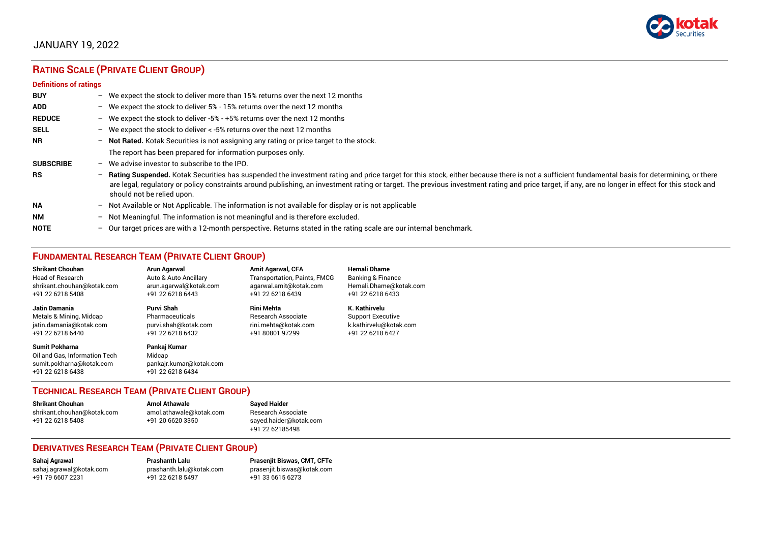

### JANUARY 19, 2022

## **RATING SCALE (PRIVATE CLIENT GROUP)**

#### **Definitions of ratings**

| <b>BUY</b>       |                          | - We expect the stock to deliver more than 15% returns over the next 12 months                                                                                                                                                                                                                                                                                                                                                   |
|------------------|--------------------------|----------------------------------------------------------------------------------------------------------------------------------------------------------------------------------------------------------------------------------------------------------------------------------------------------------------------------------------------------------------------------------------------------------------------------------|
| <b>ADD</b>       |                          | - We expect the stock to deliver 5% - 15% returns over the next 12 months                                                                                                                                                                                                                                                                                                                                                        |
| <b>REDUCE</b>    |                          | - We expect the stock to deliver -5% - +5% returns over the next 12 months                                                                                                                                                                                                                                                                                                                                                       |
| <b>SELL</b>      |                          | - We expect the stock to deliver $\lt$ -5% returns over the next 12 months                                                                                                                                                                                                                                                                                                                                                       |
| <b>NR</b>        |                          | - Not Rated. Kotak Securities is not assigning any rating or price target to the stock.                                                                                                                                                                                                                                                                                                                                          |
|                  |                          | The report has been prepared for information purposes only.                                                                                                                                                                                                                                                                                                                                                                      |
| <b>SUBSCRIBE</b> | $\overline{\phantom{0}}$ | We advise investor to subscribe to the IPO.                                                                                                                                                                                                                                                                                                                                                                                      |
| <b>RS</b>        | $\overline{\phantom{0}}$ | Rating Suspended. Kotak Securities has suspended the investment rating and price target for this stock, either because there is not a sufficient fundamental basis for determining, or there<br>are legal, regulatory or policy constraints around publishing, an investment rating or target. The previous investment rating and price target, if any, are no longer in effect for this stock and<br>should not be relied upon. |
| <b>NA</b>        |                          | - Not Available or Not Applicable. The information is not available for display or is not applicable                                                                                                                                                                                                                                                                                                                             |
| <b>NM</b>        | $\overline{\phantom{0}}$ | Not Meaningful. The information is not meaningful and is therefore excluded.                                                                                                                                                                                                                                                                                                                                                     |
| <b>NOTE</b>      |                          | $-$ Our target prices are with a 12-month perspective. Returns stated in the rating scale are our internal benchmark.                                                                                                                                                                                                                                                                                                            |

#### **FUNDAMENTAL RESEARCH TEAM (PRIVATE CLIENT GROUP)**

| <b>Shrikant Chouhan</b>                                                                                | <b>Arun Agarwal</b>                                                   | <b>Amit Agarwal, CFA</b>            | <b>Hemali Dhame</b>          |
|--------------------------------------------------------------------------------------------------------|-----------------------------------------------------------------------|-------------------------------------|------------------------------|
| Head of Research                                                                                       | Auto & Auto Ancillary                                                 | <b>Transportation, Paints, FMCG</b> | <b>Banking &amp; Finance</b> |
| shrikant.chouhan@kotak.com                                                                             | arun.agarwal@kotak.com                                                | agarwal.amit@kotak.com              | Hemali.Dhame@kotak.com       |
| +91 22 6218 5408                                                                                       | +91 22 6218 6443                                                      | +91 22 6218 6439                    | +91 22 6218 6433             |
| Jatin Damania                                                                                          | Purvi Shah                                                            | Rini Mehta                          | K. Kathirvelu                |
| Metals & Mining, Midcap                                                                                | Pharmaceuticals                                                       | Research Associate                  | <b>Support Executive</b>     |
| jatin.damania@kotak.com                                                                                | purvi.shah@kotak.com                                                  | rini.mehta@kotak.com                | k.kathirvelu@kotak.com       |
| +91 22 6218 6440                                                                                       | +91 22 6218 6432                                                      | +91 80801 97299                     | +91 22 6218 6427             |
| <b>Sumit Pokharna</b><br>Oil and Gas. Information Tech<br>sumit.pokharna@kotak.com<br>+91 22 6218 6438 | Pankai Kumar<br>Midcap<br>pankajr.kumar@kotak.com<br>+91 22 6218 6434 |                                     |                              |

#### **TECHNICAL RESEARCH TEAM (PRIVATE CLIENT GROUP)**

| Shrikant Chouhan           | <b>Amol Athawale</b>    | <b>Sayed Haider</b>    |
|----------------------------|-------------------------|------------------------|
| shrikant.chouhan@kotak.com | amol.athawale@kotak.com | Research Associate     |
| +91 22 6218 5408           | +91 20 6620 3350        | sayed.haider@kotak.com |
|                            |                         | +91 22 62185498        |

#### **DERIVATIVES RESEARCH TEAM (PRIVATE CLIENT GROUP)**

+91 22 6218 5497 +91 33 6615 6273

**Sahaj Agrawal Prashanth Lalu Prasenjit Biswas, CMT, CFTe** [sahaj.agrawal@kotak.com](mailto:sahaj.agrawal@kotak.com) [prashanth.lalu@kotak.com](mailto:prashanth.lalu@kotak.com) [prasenjit.biswas@kotak.com](mailto:prasenjit.biswas@kotak.com)